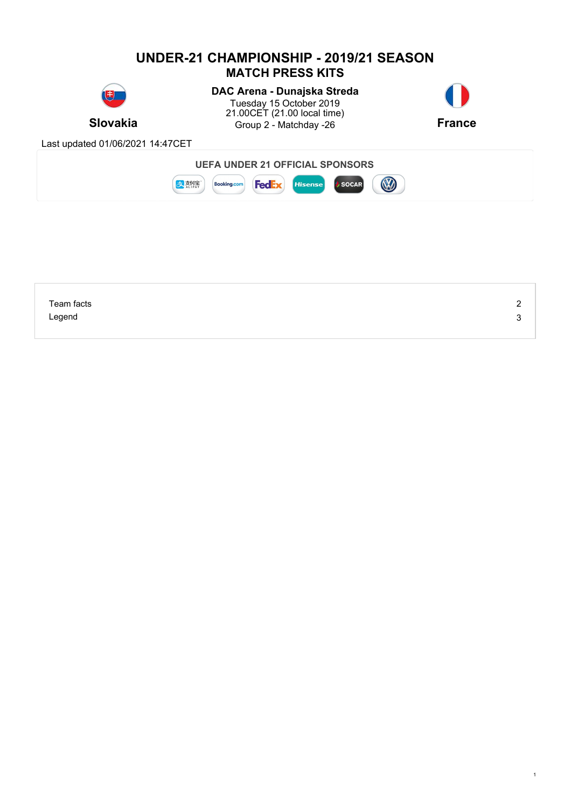

| Team facts | <u>_</u> |
|------------|----------|
| Legend     | ∽<br>ື   |
|            |          |

1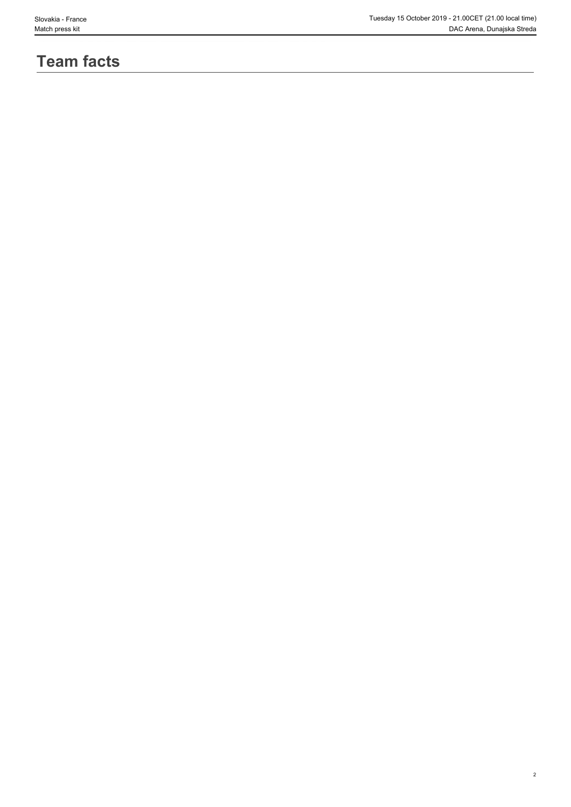# **Team facts**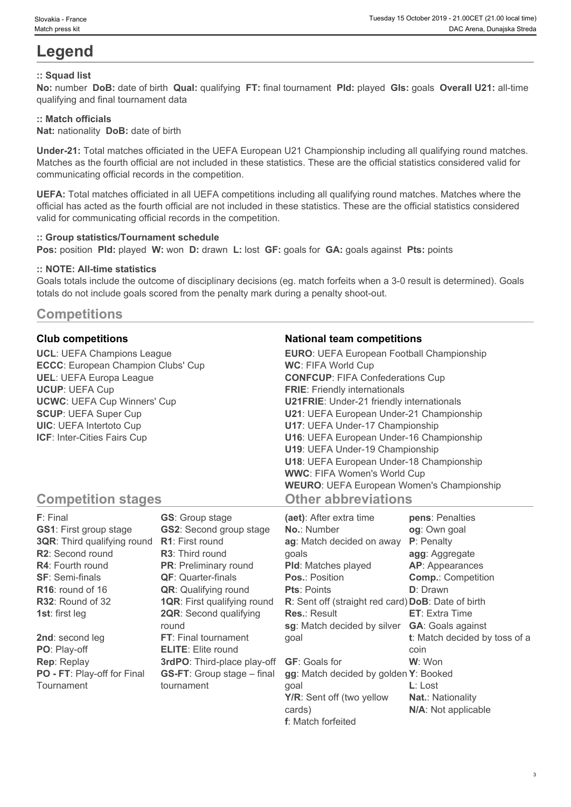# **Legend**

## **:: Squad list**

**No:** number **DoB:** date of birth **Qual:** qualifying **FT:** final tournament **Pld:** played **Gls:** goals **Overall U21:** all-time qualifying and final tournament data

## **:: Match officials**

**Nat:** nationality **DoB:** date of birth

**Under-21:** Total matches officiated in the UEFA European U21 Championship including all qualifying round matches. Matches as the fourth official are not included in these statistics. These are the official statistics considered valid for communicating official records in the competition.

**UEFA:** Total matches officiated in all UEFA competitions including all qualifying round matches. Matches where the official has acted as the fourth official are not included in these statistics. These are the official statistics considered valid for communicating official records in the competition.

#### **:: Group statistics/Tournament schedule**

**Pos:** position **Pld:** played **W:** won **D:** drawn **L:** lost **GF:** goals for **GA:** goals against **Pts:** points

### **:: NOTE: All-time statistics**

Goals totals include the outcome of disciplinary decisions (eg. match forfeits when a 3-0 result is determined). Goals totals do not include goals scored from the penalty mark during a penalty shoot-out.

# **Competitions**

**UCL**: UEFA Champions League **ECCC**: European Champion Clubs' Cup **UEL**: UEFA Europa League **UCUP**: UEFA Cup **UCWC**: UEFA Cup Winners' Cup **SCUP**: UEFA Super Cup **UIC**: UEFA Intertoto Cup **ICF**: Inter-Cities Fairs Cup

## **Club competitions National team competitions**

| <b>EURO:</b> UEFA European Football Championship |  |
|--------------------------------------------------|--|
| <b>WC: FIFA World Cup</b>                        |  |
| <b>CONFCUP: FIFA Confederations Cup</b>          |  |
| <b>FRIE:</b> Friendly internationals             |  |
| <b>U21FRIE:</b> Under-21 friendly internationals |  |
| U21: UEFA European Under-21 Championship         |  |
| U17: UEFA Under-17 Championship                  |  |
| U16: UEFA European Under-16 Championship         |  |
| U19: UEFA Under-19 Championship                  |  |
| U18: UEFA European Under-18 Championship         |  |
| <b>WWC: FIFA Women's World Cup</b>               |  |
| <b>WEURO: UEFA European Women's Championship</b> |  |
| <b>Other abbreviations</b>                       |  |

# **Competition stages**

| F: Final                           | <b>GS:</b> Group stage             | (aet): After extra time                            | pens: Penalties               |
|------------------------------------|------------------------------------|----------------------------------------------------|-------------------------------|
| <b>GS1: First group stage</b>      | <b>GS2:</b> Second group stage     | <b>No.: Number</b>                                 | og: Own goal                  |
| <b>3QR:</b> Third qualifying round | <b>R1:</b> First round             | ag: Match decided on away                          | P: Penalty                    |
| R2: Second round                   | <b>R3:</b> Third round             | qoals                                              | agg: Aggregate                |
| <b>R4:</b> Fourth round            | <b>PR:</b> Preliminary round       | <b>PId:</b> Matches played                         | AP: Appearances               |
| <b>SF: Semi-finals</b>             | <b>QF: Quarter-finals</b>          | <b>Pos.: Position</b>                              | <b>Comp.: Competition</b>     |
| $R16$ : round of 16                | <b>QR:</b> Qualifying round        | <b>Pts: Points</b>                                 | <b>D</b> : Drawn              |
| R32: Round of 32                   | <b>1QR: First qualifying round</b> | R: Sent off (straight red card) DoB: Date of birth |                               |
| <b>1st:</b> first leg              | <b>2QR:</b> Second qualifying      | <b>Res.: Result</b>                                | <b>ET:</b> Extra Time         |
|                                    | round                              | sg: Match decided by silver                        | <b>GA:</b> Goals against      |
| 2nd: second leg                    | FT: Final tournament               | qoal                                               | t: Match decided by toss of a |
| PO: Play-off                       | <b>ELITE:</b> Elite round          |                                                    | coin                          |
| <b>Rep: Replay</b>                 | 3rdPO: Third-place play-off        | <b>GF: Goals for</b>                               | W: Won                        |
| PO - FT: Play-off for Final        | <b>GS-FT:</b> Group stage – final  | gg: Match decided by golden Y: Booked              |                               |
| Tournament                         | tournament                         | qoal                                               | $L:$ Lost                     |
|                                    |                                    | Y/R: Sent off (two yellow                          | <b>Nat.: Nationality</b>      |
|                                    |                                    | cards)                                             | N/A: Not applicable           |

**f**: Match forfeited